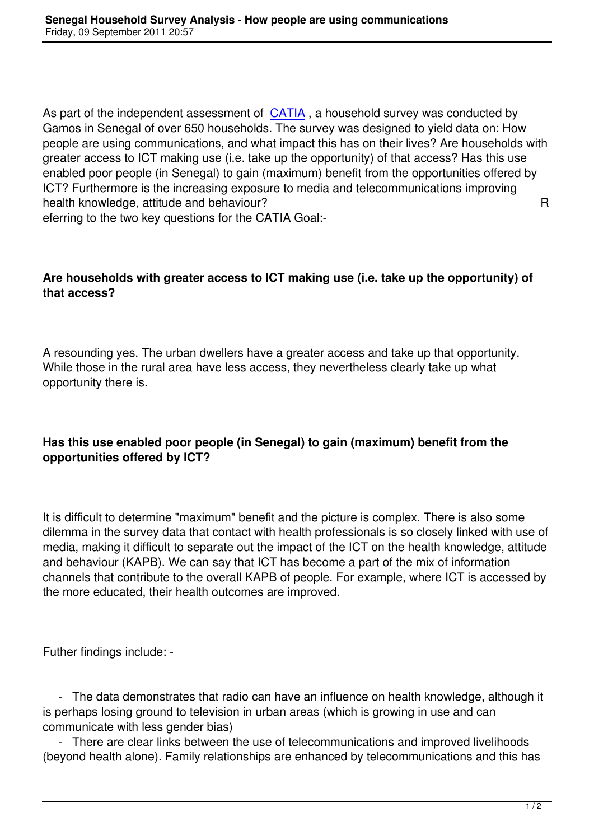As part of the independent assessment of CATIA, a household survey was conducted by Gamos in Senegal of over 650 households. The survey was designed to yield data on: How people are using communications, and what impact this has on their lives? Are households with greater access to ICT making use (i.e. tak[e up the](index.php?option=com_content&view=article&id=129:-catia-catalysing-access-to-ict-in-africa&catid=40:icts&Itemid=77) opportunity) of that access? Has this use enabled poor people (in Senegal) to gain (maximum) benefit from the opportunities offered by ICT? Furthermore is the increasing exposure to media and telecommunications improving health knowledge, attitude and behaviour? A mealth control with the R

eferring to the two key questions for the CATIA Goal:-

## **Are households with greater access to ICT making use (i.e. take up the opportunity) of that access?**

A resounding yes. The urban dwellers have a greater access and take up that opportunity. While those in the rural area have less access, they nevertheless clearly take up what opportunity there is.

## **Has this use enabled poor people (in Senegal) to gain (maximum) benefit from the opportunities offered by ICT?**

It is difficult to determine "maximum" benefit and the picture is complex. There is also some dilemma in the survey data that contact with health professionals is so closely linked with use of media, making it difficult to separate out the impact of the ICT on the health knowledge, attitude and behaviour (KAPB). We can say that ICT has become a part of the mix of information channels that contribute to the overall KAPB of people. For example, where ICT is accessed by the more educated, their health outcomes are improved.

Futher findings include: -

 - The data demonstrates that radio can have an influence on health knowledge, although it is perhaps losing ground to television in urban areas (which is growing in use and can communicate with less gender bias)

 - There are clear links between the use of telecommunications and improved livelihoods (beyond health alone). Family relationships are enhanced by telecommunications and this has